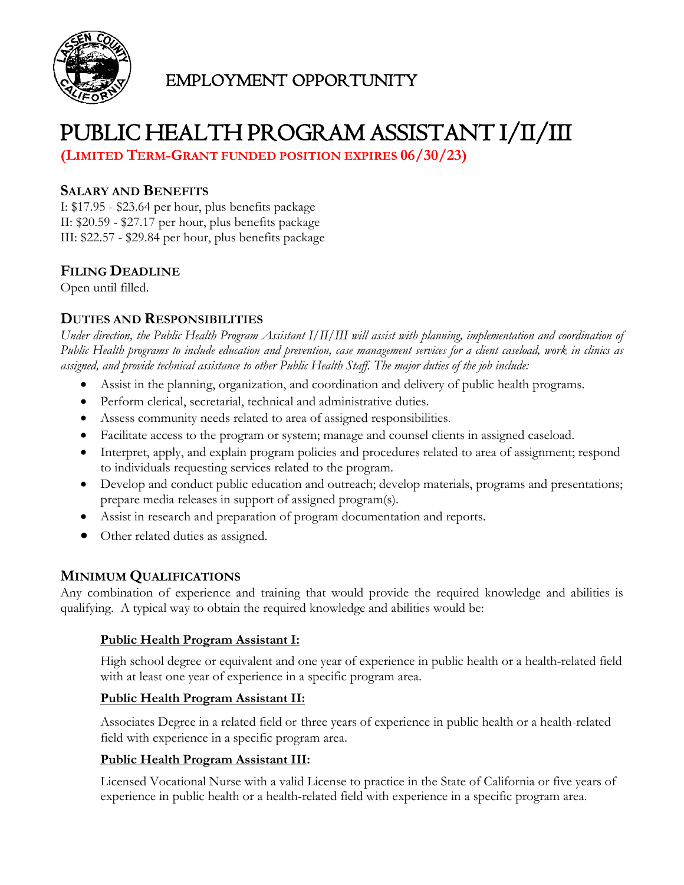

# EMPLOYMENT OPPORTUNITY

# PUBLIC HEALTH PROGRAM ASSISTANT I/II/III

**(LIMITED TERM-GRANT FUNDED POSITION EXPIRES 06/30/23)**

### **SALARY AND BENEFITS**

I: \$17.95 - \$23.64 per hour, plus benefits package II: \$20.59 - \$27.17 per hour, plus benefits package III: \$22.57 - \$29.84 per hour, plus benefits package

# **FILING DEADLINE**

Open until filled.

## **DUTIES AND RESPONSIBILITIES**

*Under direction, the Public Health Program Assistant I/II/III will assist with planning, implementation and coordination of Public Health programs to include education and prevention, case management services for a client caseload, work in clinics as assigned, and provide technical assistance to other Public Health Staff. The major duties of the job include:*

- Assist in the planning, organization, and coordination and delivery of public health programs.
- Perform clerical, secretarial, technical and administrative duties.
- Assess community needs related to area of assigned responsibilities.
- Facilitate access to the program or system; manage and counsel clients in assigned caseload.
- Interpret, apply, and explain program policies and procedures related to area of assignment; respond to individuals requesting services related to the program.
- Develop and conduct public education and outreach; develop materials, programs and presentations; prepare media releases in support of assigned program(s).
- Assist in research and preparation of program documentation and reports.
- Other related duties as assigned.

# **MINIMUM QUALIFICATIONS**

Any combination of experience and training that would provide the required knowledge and abilities is qualifying. A typical way to obtain the required knowledge and abilities would be:

#### **Public Health Program Assistant I:**

High school degree or equivalent and one year of experience in public health or a health-related field with at least one year of experience in a specific program area.

#### **Public Health Program Assistant II:**

Associates Degree in a related field or three years of experience in public health or a health-related field with experience in a specific program area.

#### **Public Health Program Assistant III:**

Licensed Vocational Nurse with a valid License to practice in the State of California or five years of experience in public health or a health-related field with experience in a specific program area.